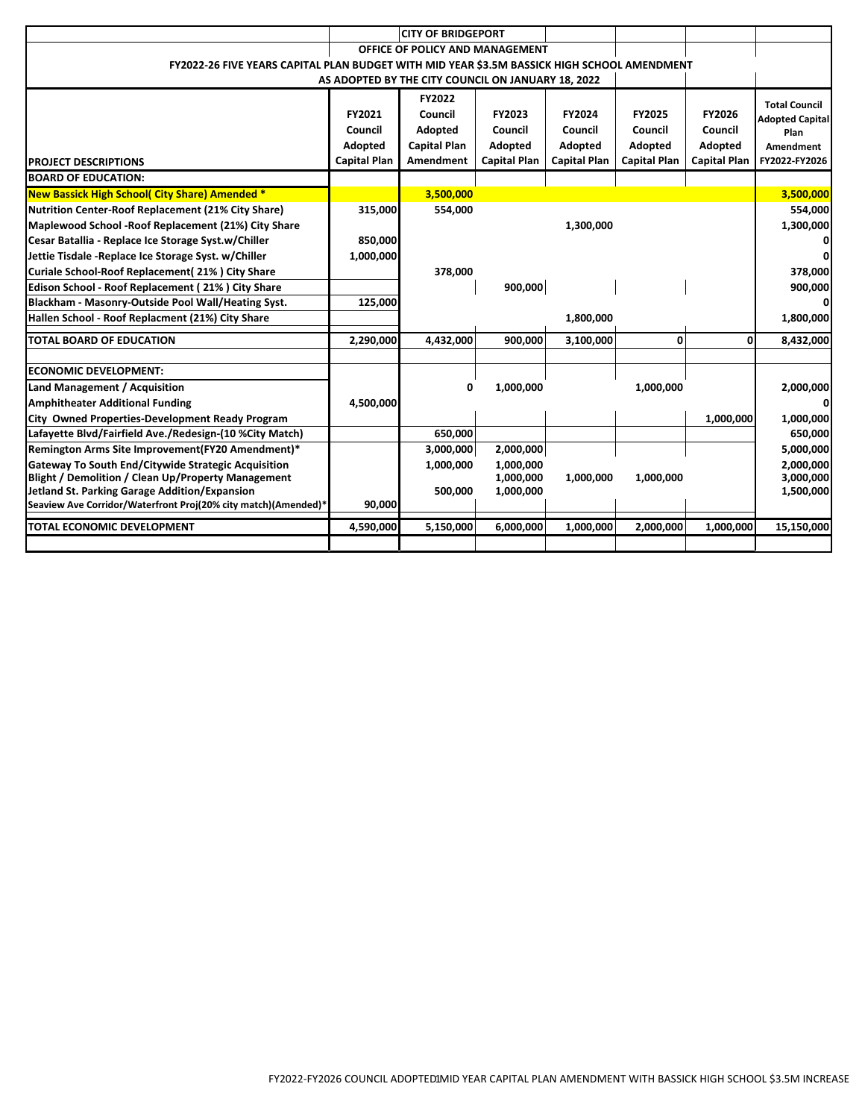|                                                                                             |                     | <b>CITY OF BRIDGEPORT</b>                          |                     |                     |                     |                     |                        |  |  |  |  |
|---------------------------------------------------------------------------------------------|---------------------|----------------------------------------------------|---------------------|---------------------|---------------------|---------------------|------------------------|--|--|--|--|
| OFFICE OF POLICY AND MANAGEMENT                                                             |                     |                                                    |                     |                     |                     |                     |                        |  |  |  |  |
| FY2022-26 FIVE YEARS CAPITAL PLAN BUDGET WITH MID YEAR \$3.5M BASSICK HIGH SCHOOL AMENDMENT |                     |                                                    |                     |                     |                     |                     |                        |  |  |  |  |
|                                                                                             |                     | AS ADOPTED BY THE CITY COUNCIL ON JANUARY 18, 2022 |                     |                     |                     |                     |                        |  |  |  |  |
|                                                                                             |                     | FY2022                                             |                     |                     |                     |                     | <b>Total Council</b>   |  |  |  |  |
|                                                                                             | FY2021              | Council                                            | FY2023              | FY2024              | <b>FY2025</b>       | <b>FY2026</b>       | <b>Adopted Capital</b> |  |  |  |  |
|                                                                                             | Council             | Adopted                                            | Council             | Council             | Council             | Council             | Plan                   |  |  |  |  |
|                                                                                             | Adopted             | <b>Capital Plan</b>                                | Adopted             | Adopted             | Adopted             | Adopted             | <b>Amendment</b>       |  |  |  |  |
| <b>PROJECT DESCRIPTIONS</b>                                                                 | <b>Capital Plan</b> | <b>Amendment</b>                                   | <b>Capital Plan</b> | <b>Capital Plan</b> | <b>Capital Plan</b> | <b>Capital Plan</b> | FY2022-FY2026          |  |  |  |  |
| <b>BOARD OF EDUCATION:</b>                                                                  |                     |                                                    |                     |                     |                     |                     |                        |  |  |  |  |
| New Bassick High School( City Share) Amended *                                              |                     | 3,500,000                                          |                     |                     |                     |                     | 3,500,000              |  |  |  |  |
| <b>Nutrition Center-Roof Replacement (21% City Share)</b>                                   | 315,000             | 554,000                                            |                     |                     |                     |                     | 554,000                |  |  |  |  |
| Maplewood School - Roof Replacement (21%) City Share                                        |                     |                                                    |                     | 1,300,000           |                     |                     | 1,300,000              |  |  |  |  |
| Cesar Batallia - Replace Ice Storage Syst.w/Chiller                                         | 850,000             |                                                    |                     |                     |                     |                     |                        |  |  |  |  |
| Jettie Tisdale - Replace Ice Storage Syst. w/Chiller                                        | 1,000,000           |                                                    |                     |                     |                     |                     | $\Omega$               |  |  |  |  |
| Curiale School-Roof Replacement(21%) City Share                                             |                     | 378,000                                            |                     |                     |                     |                     | 378,000                |  |  |  |  |
| Edison School - Roof Replacement (21%) City Share                                           |                     |                                                    | 900,000             |                     |                     |                     | 900,000                |  |  |  |  |
| Blackham - Masonry-Outside Pool Wall/Heating Syst.                                          | 125,000             |                                                    |                     |                     |                     |                     | $\mathbf{0}$           |  |  |  |  |
| Hallen School - Roof Replacment (21%) City Share                                            |                     |                                                    |                     | 1,800,000           |                     |                     | 1,800,000              |  |  |  |  |
| <b>TOTAL BOARD OF EDUCATION</b>                                                             | 2,290,000           | 4,432,000                                          | 900,000             | 3,100,000           | 0                   | 0                   | 8,432,000              |  |  |  |  |
|                                                                                             |                     |                                                    |                     |                     |                     |                     |                        |  |  |  |  |
| <b>ECONOMIC DEVELOPMENT:</b>                                                                |                     |                                                    |                     |                     |                     |                     |                        |  |  |  |  |
| Land Management / Acquisition                                                               |                     | 0                                                  | 1,000,000           |                     | 1,000,000           |                     | 2,000,000              |  |  |  |  |
| <b>Amphitheater Additional Funding</b>                                                      | 4,500,000           |                                                    |                     |                     |                     |                     | $\Omega$               |  |  |  |  |
| City Owned Properties-Development Ready Program                                             |                     |                                                    |                     |                     |                     | 1,000,000           | 1,000,000              |  |  |  |  |
| Lafayette Blvd/Fairfield Ave./Redesign-(10 %City Match)                                     |                     | 650,000                                            |                     |                     |                     |                     | 650,000                |  |  |  |  |
| Remington Arms Site Improvement(FY20 Amendment)*                                            |                     | 3,000,000                                          | 2,000,000           |                     |                     |                     | 5,000,000              |  |  |  |  |
| Gateway To South End/Citywide Strategic Acquisition                                         |                     | 1,000,000                                          | 1,000,000           |                     |                     |                     | 2,000,000              |  |  |  |  |
| <b>Blight / Demolition / Clean Up/Property Management</b>                                   |                     |                                                    | 1,000,000           | 1,000,000           | 1,000,000           |                     | 3,000,000              |  |  |  |  |
| <b>Jetland St. Parking Garage Addition/Expansion</b>                                        |                     | 500,000                                            | 1,000,000           |                     |                     |                     | 1,500,000              |  |  |  |  |
| Seaview Ave Corridor/Waterfront Proj(20% city match)(Amended)*                              | 90,000              |                                                    |                     |                     |                     |                     |                        |  |  |  |  |
| <b>TOTAL ECONOMIC DEVELOPMENT</b>                                                           | 4,590,000           | 5,150,000                                          | 6,000,000           | 1,000,000           | 2,000,000           | 1,000,000           | 15,150,000             |  |  |  |  |
|                                                                                             |                     |                                                    |                     |                     |                     |                     |                        |  |  |  |  |